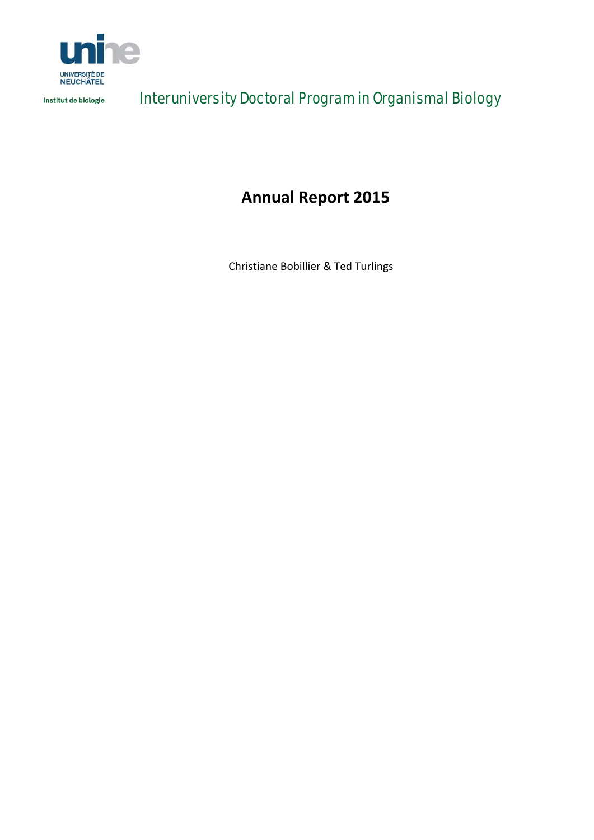

Institut de biologie

Interuniversity Doctoral Program in Organismal Biology

# **Annual Report 2015**

Christiane Bobillier & Ted Turlings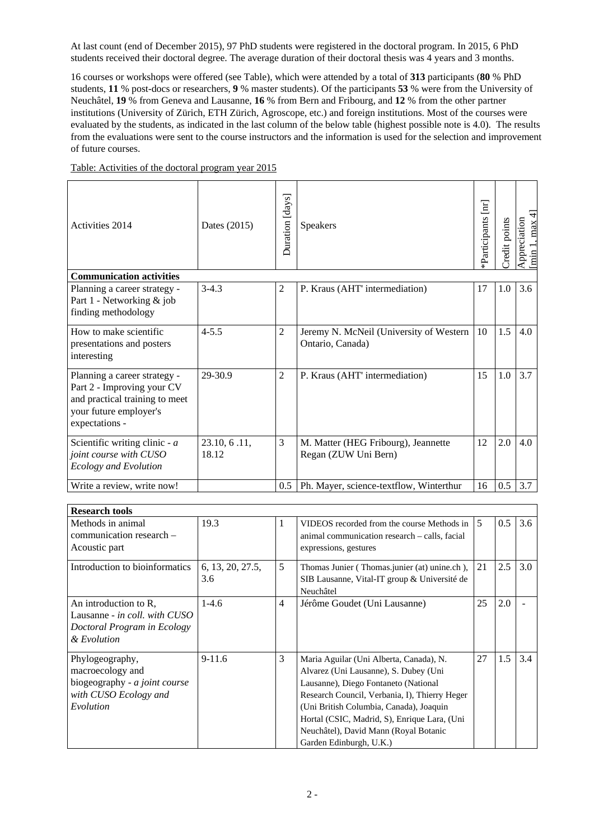At last count (end of December 2015), 97 PhD students were registered in the doctoral program. In 2015, 6 PhD students received their doctoral degree. The average duration of their doctoral thesis was 4 years and 3 months.

16 courses or workshops were offered (see Table), which were attended by a total of **313** participants (**80** % PhD students, **11** % post-docs or researchers, **9** % master students). Of the participants **53** % were from the University of Neuchâtel, **19** % from Geneva and Lausanne, **16** % from Bern and Fribourg, and **12** % from the other partner institutions (University of Zürich, ETH Zürich, Agroscope, etc.) and foreign institutions. Most of the courses were evaluated by the students, as indicated in the last column of the below table (highest possible note is 4.0). The results from the evaluations were sent to the course instructors and the information is used for the selection and improvement of future courses.

|  | Table: Activities of the doctoral program year 2015 |
|--|-----------------------------------------------------|
|  |                                                     |

| Activities 2014                                                                                                                          | Dates (2015)          | Duration [days] | <b>Speakers</b>                                             | Participants [nr] | redit points | ₹<br>Appreciation<br>max<br>$\dot{m}$ |
|------------------------------------------------------------------------------------------------------------------------------------------|-----------------------|-----------------|-------------------------------------------------------------|-------------------|--------------|---------------------------------------|
| <b>Communication activities</b>                                                                                                          |                       |                 |                                                             |                   |              |                                       |
| Planning a career strategy -<br>Part 1 - Networking & job<br>finding methodology                                                         | $3-4.3$               | 2               | P. Kraus (AHT' intermediation)                              | 17                | 1.0          | 3.6                                   |
| How to make scientific<br>presentations and posters<br>interesting                                                                       | $4 - 5.5$             | 2               | Jeremy N. McNeil (University of Western<br>Ontario, Canada) | 10                | 1.5          | 4.0                                   |
| Planning a career strategy -<br>Part 2 - Improving your CV<br>and practical training to meet<br>your future employer's<br>expectations - | 29-30.9               | $\overline{2}$  | P. Kraus (AHT' intermediation)                              | 15                | 1.0          | 3.7                                   |
| Scientific writing clinic - $a$<br>joint course with CUSO<br>Ecology and Evolution                                                       | 23.10, 6.11,<br>18.12 | 3               | M. Matter (HEG Fribourg), Jeannette<br>Regan (ZUW Uni Bern) | 12                | 2.0          | 4.0                                   |
| Write a review, write now!                                                                                                               |                       | 0.5             | Ph. Mayer, science-textflow, Winterthur                     | 16                | 0.5          | 3.7                                   |

| <b>Research tools</b>                                                                                      |                         |                |                                                                                                                                                                                                                                                                                                                                          |    |     |     |
|------------------------------------------------------------------------------------------------------------|-------------------------|----------------|------------------------------------------------------------------------------------------------------------------------------------------------------------------------------------------------------------------------------------------------------------------------------------------------------------------------------------------|----|-----|-----|
| Methods in animal<br>communication research –<br>Acoustic part                                             | 19.3                    | 1              | VIDEOS recorded from the course Methods in<br>animal communication research – calls, facial<br>expressions, gestures                                                                                                                                                                                                                     | 5  | 0.5 | 3.6 |
| Introduction to bioinformatics                                                                             | 6, 13, 20, 27.5,<br>3.6 | 5              | Thomas Junier (Thomas junier (at) unine.ch),<br>SIB Lausanne, Vital-IT group & Université de<br>Neuchâtel                                                                                                                                                                                                                                | 21 | 2.5 | 3.0 |
| An introduction to R.<br>Lausanne - in coll. with CUSO<br>Doctoral Program in Ecology<br>& Evolution       | $1-4.6$                 | $\overline{4}$ | Jérôme Goudet (Uni Lausanne)                                                                                                                                                                                                                                                                                                             | 25 | 2.0 |     |
| Phylogeography,<br>macroecology and<br>biogeography - a joint course<br>with CUSO Ecology and<br>Evolution | $9-11.6$                | 3              | Maria Aguilar (Uni Alberta, Canada), N.<br>Alvarez (Uni Lausanne), S. Dubey (Uni<br>Lausanne), Diego Fontaneto (National<br>Research Council, Verbania, I), Thierry Heger<br>(Uni British Columbia, Canada), Joaquin<br>Hortal (CSIC, Madrid, S), Enrique Lara, (Uni<br>Neuchâtel), David Mann (Royal Botanic<br>Garden Edinburgh, U.K.) | 27 | 1.5 | 3.4 |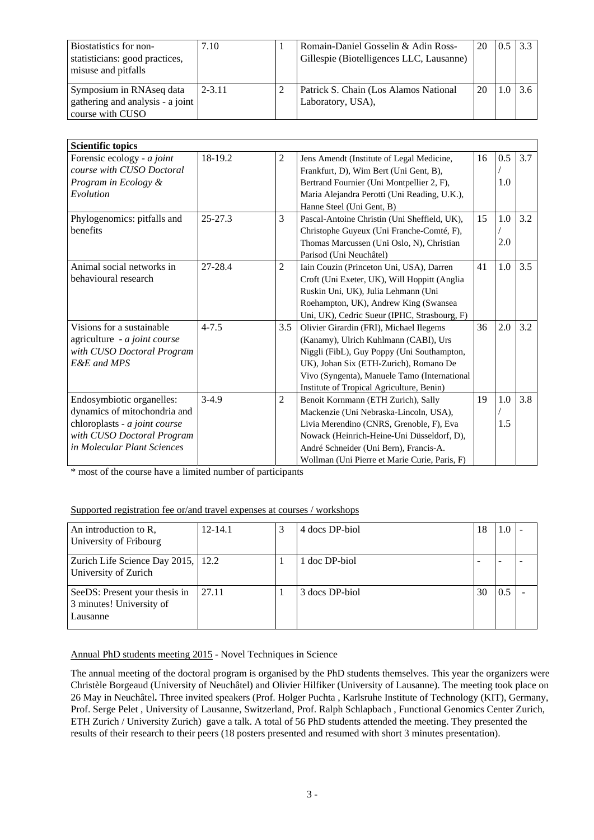| Biostatistics for non-<br>statisticians: good practices,<br>misuse and pitfalls  | 7.10       | Romain-Daniel Gosselin & Adin Ross-<br>Gillespie (Biotelligences LLC, Lausanne) | 20 | $\vert$ 3.3   |
|----------------------------------------------------------------------------------|------------|---------------------------------------------------------------------------------|----|---------------|
| Symposium in RNAseq data<br>gathering and analysis - a joint<br>course with CUSO | $2 - 3.11$ | Patrick S. Chain (Los Alamos National<br>Laboratory, USA),                      | 20 | $1.0 \pm 3.6$ |

| <b>Scientific topics</b>                                                                                                                                |           |                |                                                                                                                                                                                                                                                                       |    |            |     |
|---------------------------------------------------------------------------------------------------------------------------------------------------------|-----------|----------------|-----------------------------------------------------------------------------------------------------------------------------------------------------------------------------------------------------------------------------------------------------------------------|----|------------|-----|
| Forensic ecology - a joint<br>course with CUSO Doctoral<br>Program in Ecology &                                                                         | 18-19.2   | $\overline{2}$ | Jens Amendt (Institute of Legal Medicine,<br>Frankfurt, D), Wim Bert (Uni Gent, B),<br>Bertrand Fournier (Uni Montpellier 2, F),                                                                                                                                      | 16 | 0.5<br>1.0 | 3.7 |
| Evolution                                                                                                                                               |           |                | Maria Alejandra Perotti (Uni Reading, U.K.),<br>Hanne Steel (Uni Gent, B)                                                                                                                                                                                             |    |            |     |
| Phylogenomics: pitfalls and<br>benefits                                                                                                                 | 25-27.3   | 3              | Pascal-Antoine Christin (Uni Sheffield, UK),<br>Christophe Guyeux (Uni Franche-Comté, F),<br>Thomas Marcussen (Uni Oslo, N), Christian<br>Parisod (Uni Neuchâtel)                                                                                                     | 15 | 1.0<br>2.0 | 3.2 |
| Animal social networks in<br>behavioural research                                                                                                       | 27-28.4   | $\overline{2}$ | Iain Couzin (Princeton Uni, USA), Darren<br>Croft (Uni Exeter, UK), Will Hoppitt (Anglia<br>Ruskin Uni, UK), Julia Lehmann (Uni<br>Roehampton, UK), Andrew King (Swansea<br>Uni, UK), Cedric Sueur (IPHC, Strasbourg, F)                                              | 41 | 1.0        | 3.5 |
| Visions for a sustainable<br>agriculture - a joint course<br>with CUSO Doctoral Program<br>E&E and MPS                                                  | $4 - 7.5$ | 3.5            | Olivier Girardin (FRI), Michael Ilegems<br>(Kanamy), Ulrich Kuhlmann (CABI), Urs<br>Niggli (FibL), Guy Poppy (Uni Southampton,<br>UK), Johan Six (ETH-Zurich), Romano De<br>Vivo (Syngenta), Manuele Tamo (International<br>Institute of Tropical Agriculture, Benin) | 36 | 2.0        | 3.2 |
| Endosymbiotic organelles:<br>dynamics of mitochondria and<br>chloroplasts - a joint course<br>with CUSO Doctoral Program<br>in Molecular Plant Sciences | $3-4.9$   | $\overline{2}$ | Benoit Kornmann (ETH Zurich), Sally<br>Mackenzie (Uni Nebraska-Lincoln, USA),<br>Livia Merendino (CNRS, Grenoble, F), Eva<br>Nowack (Heinrich-Heine-Uni Düsseldorf, D),<br>André Schneider (Uni Bern), Francis-A.<br>Wollman (Uni Pierre et Marie Curie, Paris, F)    | 19 | 1.0<br>1.5 | 3.8 |

\* most of the course have a limited number of participants

## Supported registration fee or/and travel expenses at courses / workshops

| An introduction to R,<br>University of Fribourg                       | $12 - 14.1$ | 3 | 4 docs DP-biol | 18 | 1.0 |  |
|-----------------------------------------------------------------------|-------------|---|----------------|----|-----|--|
| Zurich Life Science Day 2015, 12.2<br>University of Zurich            |             |   | 1 doc DP-biol  |    |     |  |
| SeeDS: Present your thesis in<br>3 minutes! University of<br>Lausanne | 27.11       |   | 3 docs DP-biol | 30 | 0.5 |  |

Annual PhD students meeting 2015 - Novel Techniques in Science

The annual meeting of the doctoral program is organised by the PhD students themselves. This year the organizers were Christèle Borgeaud (University of Neuchâtel) and Olivier Hilfiker (University of Lausanne). The meeting took place on 26 May in Neuchâtel**.** Three invited speakers (Prof. Holger Puchta , Karlsruhe Institute of Technology (KIT), Germany, Prof. Serge Pelet , University of Lausanne, Switzerland, Prof. Ralph Schlapbach , Functional Genomics Center Zurich, ETH Zurich / University Zurich) gave a talk. A total of 56 PhD students attended the meeting. They presented the results of their research to their peers (18 posters presented and resumed with short 3 minutes presentation).